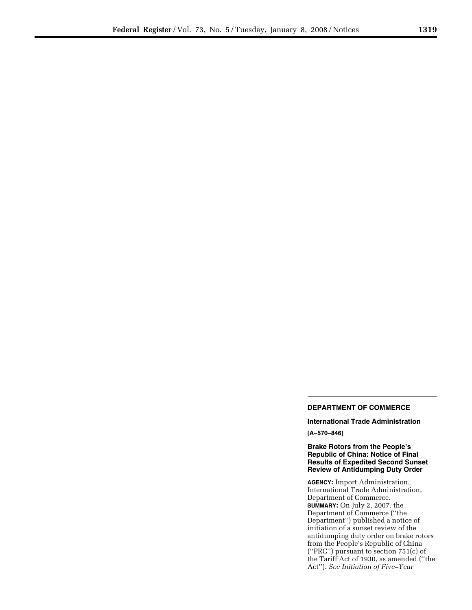## **DEPARTMENT OF COMMERCE**

**International Trade Administration [A–570–846]** 

**Brake Rotors from the People's Republic of China: Notice of Final Results of Expedited Second Sunset Review of Antidumping Duty Order** 

**AGENCY:** Import Administration, International Trade Administration, Department of Commerce. **SUMMARY:** On July 2, 2007, the Department of Commerce (''the Department'') published a notice of initiation of a sunset review of the antidumping duty order on brake rotors from the People's Republic of China (''PRC'') pursuant to section 751(c) of the Tariff Act of 1930, as amended (''the Act''). *See Initiation of Five–Year*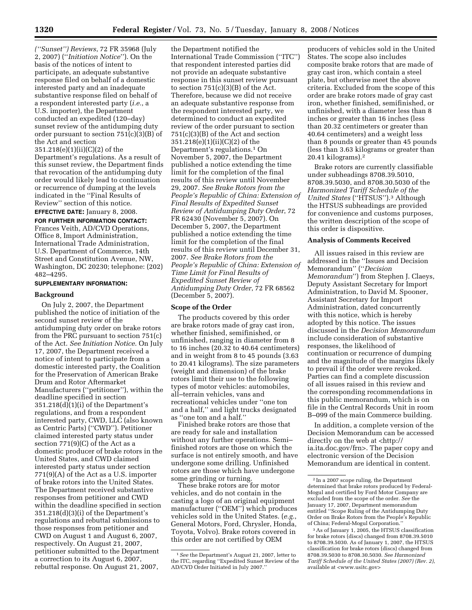*(''Sunset'') Reviews*, 72 FR 35968 (July 2, 2007) (''*Initiation Notice*''). On the basis of the notices of intent to participate, an adequate substantive response filed on behalf of a domestic interested party and an inadequate substantive response filed on behalf of a respondent interested party (*i.e.*, a U.S. importer), the Department conducted an expedited (120–day) sunset review of the antidumping duty order pursuant to section 751(c)(3)(B) of the Act and section

351.218(e)(1)(ii)(C)(2) of the Department's regulations. As a result of this sunset review, the Department finds that revocation of the antidumping duty order would likely lead to continuation or recurrence of dumping at the levels indicated in the ''Final Results of Review'' section of this notice.

# **EFFECTIVE DATE:** January 8, 2008.

**FOR FURTHER INFORMATION CONTACT:**  Frances Veith, AD/CVD Operations, Office 8, Import Administration, International Trade Administration, U.S. Department of Commerce, 14th Street and Constitution Avenue, NW, Washington, DC 20230; telephone: (202) 482–4295.

# **SUPPLEMENTARY INFORMATION:**

#### **Background**

On July 2, 2007, the Department published the notice of initiation of the second sunset review of the antidumping duty order on brake rotors from the PRC pursuant to section 751(c) of the Act. *See Initiation Notice*. On July 17, 2007, the Department received a notice of intent to participate from a domestic interested party, the Coalition for the Preservation of American Brake Drum and Rotor Aftermarket Manufacturers (''petitioner''), within the deadline specified in section 351.218(d)(1)(i) of the Department's regulations, and from a respondent interested party, CWD, LLC (also known as Centric Parts) (''CWD''). Petitioner claimed interested party status under section 771(9)(C) of the Act as a domestic producer of brake rotors in the United States, and CWD claimed interested party status under section 771(9)(A) of the Act as a U.S. importer of brake rotors into the United States. The Department received substantive responses from petitioner and CWD within the deadline specified in section 351.218(d)(3)(i) of the Department's regulations and rebuttal submissions to those responses from petitioner and CWD on August 1 and August 6, 2007, respectively. On August 21, 2007, petitioner submitted to the Department a correction to its August 6, 2007, rebuttal response. On August 21, 2007,

the Department notified the International Trade Commission (''ITC'') that respondent interested parties did not provide an adequate substantive response in this sunset review pursuant to section  $751(c)(3)(B)$  of the Act. Therefore, because we did not receive an adequate substantive response from the respondent interested party, we determined to conduct an expedited review of the order pursuant to section 751(c)(3)(B) of the Act and section 351.218(e)(1)(ii)(C)(2) of the Department's regulations.1 On November 5, 2007, the Department published a notice extending the time limit for the completion of the final results of this review until November 29, 2007. *See Brake Rotors from the People's Republic of China: Extension of Final Results of Expedited Sunset Review of Antidumping Duty Order*, 72 FR 62430 (November 5, 2007). On December 5, 2007, the Department published a notice extending the time limit for the completion of the final results of this review until December 31, 2007. *See Brake Rotors from the People's Republic of China: Extension of Time Limit for Final Results of Expedited Sunset Review of Antidumping Duty Order*, 72 FR 68562 (December 5, 2007).

### **Scope of the Order**

The products covered by this order are brake rotors made of gray cast iron, whether finished, semifinished, or unfinished, ranging in diameter from 8 to 16 inches (20.32 to 40.64 centimeters) and in weight from 8 to 45 pounds (3.63 to 20.41 kilograms). The size parameters (weight and dimension) of the brake rotors limit their use to the following types of motor vehicles: automobiles, all–terrain vehicles, vans and recreational vehicles under ''one ton and a half,'' and light trucks designated as ''one ton and a half.''

Finished brake rotors are those that are ready for sale and installation without any further operations. Semi– finished rotors are those on which the surface is not entirely smooth, and have undergone some drilling. Unfinished rotors are those which have undergone some grinding or turning.

These brake rotors are for motor vehicles, and do not contain in the casting a logo of an original equipment manufacturer (''OEM'') which produces vehicles sold in the United States. (*e.g.*, General Motors, Ford, Chrysler, Honda, Toyota, Volvo). Brake rotors covered in this order are not certified by OEM

producers of vehicles sold in the United States. The scope also includes composite brake rotors that are made of gray cast iron, which contain a steel plate, but otherwise meet the above criteria. Excluded from the scope of this order are brake rotors made of gray cast iron, whether finished, semifinished, or unfinished, with a diameter less than 8 inches or greater than 16 inches (less than 20.32 centimeters or greater than 40.64 centimeters) and a weight less than 8 pounds or greater than 45 pounds (less than 3.63 kilograms or greater than 20.41 kilograms).2

Brake rotors are currently classifiable under subheadings 8708.39.5010, 8708.39.5030, and 8708.30.5030 of the *Harmonized Tariff Schedule of the United States* (''HTSUS'').3 Although the HTSUS subheadings are provided for convenience and customs purposes, the written description of the scope of this order is dispositive.

# **Analysis of Comments Received**

All issues raised in this review are addressed in the ''Issues and Decision Memorandum'' (''*Decision Memorandum*'') from Stephen J. Claeys, Deputy Assistant Secretary for Import Administration, to David M. Spooner, Assistant Secretary for Import Administration, dated concurrently with this notice, which is hereby adopted by this notice. The issues discussed in the *Decision Memorandum*  include consideration of substantive responses, the likelihood of continuation or recurrence of dumping and the magnitude of the margins likely to prevail if the order were revoked. Parties can find a complete discussion of all issues raised in this review and the corresponding recommendations in this public memorandum, which is on file in the Central Records Unit in room B–099 of the main Commerce building.

In addition, a complete version of the Decision Memorandum can be accessed directly on the web at <http:// ia.ita.doc.gov/frn>. The paper copy and electronic version of the Decision Memorandum are identical in content.

<sup>1</sup>*See* the Department's August 21, 2007, letter to the ITC, regarding ''Expedited Sunset Review of the AD/CVD Order Initiated in July 2007.''

<sup>2</sup> In a 2007 scope ruling, the Department determined that brake rotors produced by Federal-Mogul and certified by Ford Motor Company are excluded from the scope of the order. *See* the January 17, 2007, Department memorandum entitled ''Scope Ruling of the Antidumping Duty Order on Brake Rotors from the People's Republic of China; Federal-Mogul Corporation.''

<sup>3</sup>As of January 1, 2005, the HTSUS classification for brake rotors (discs) changed from 8708.39.5010 to 8708.39.5030. As of January 1, 2007, the HTSUS classification for brake rotors (discs) changed from 8708.39.5030 to 8708.30.5030. *See Harmonized Tariff Schedule of the United States (2007) (Rev. 2)*, available at <www.usitc.gov>